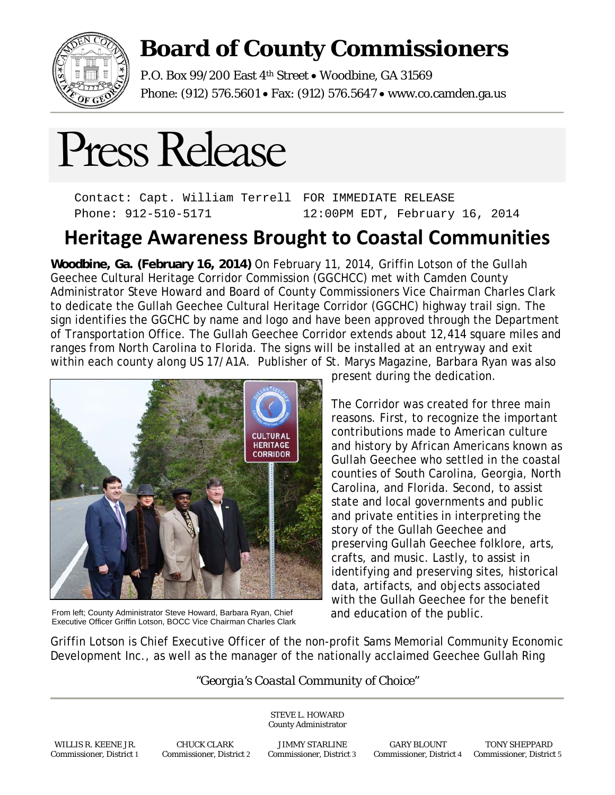

## **Board of County Commissioners**

P.O. Box 99/200 East 4<sup>th</sup> Street . Woodbine, GA 31569 Phone: (912) 576.5601 Fax: (912) 576.5647 www.co.camden.ga.us



Contact: Capt. William Terrell Phone: 912-510-5171 FOR IMMEDIATE RELEASE 12:00PM EDT, February 16, 2014

## **Heritage Awareness Brought to Coastal Communities**

**Woodbine, Ga. (February 16, 2014)** On February 11, 2014, Griffin Lotson of the Gullah Geechee Cultural Heritage Corridor Commission (GGCHCC) met with Camden County Administrator Steve Howard and Board of County Commissioners Vice Chairman Charles Clark to dedicate the Gullah Geechee Cultural Heritage Corridor (GGCHC) highway trail sign. The sign identifies the GGCHC by name and logo and have been approved through the Department of Transportation Office. The Gullah Geechee Corridor extends about 12,414 square miles and ranges from North Carolina to Florida. The signs will be installed at an entryway and exit within each county along US 17/A1A. Publisher of St. Marys Magazine, Barbara Ryan was also



From left; County Administrator Steve Howard, Barbara Ryan, Chief and education of the public. Executive Officer Griffin Lotson, BOCC Vice Chairman Charles Clark

present during the dedication.

The Corridor was created for three main reasons. First, to recognize the important contributions made to American culture and history by African Americans known as Gullah Geechee who settled in the coastal counties of South Carolina, Georgia, North Carolina, and Florida. Second, to assist state and local governments and public and private entities in interpreting the story of the Gullah Geechee and preserving Gullah Geechee folklore, arts, crafts, and music. Lastly, to assist in identifying and preserving sites, historical data, artifacts, and objects associated with the Gullah Geechee for the benefit

Griffin Lotson is Chief Executive Officer of the non-profit Sams Memorial Community Economic Development Inc., as well as the manager of the nationally acclaimed Geechee Gullah Ring

## *"Georgia's Coastal Community of Choice"*

STEVE L. HOWARD

 WILLIS R. KEENE JR. CHUCK CLARK JIMMY STARLINE GARY BLOUNT TONY SHEPPARD Commissioner, District 1 Commissioner, District 2 Commissioner, District 3 Commissioner, District 4 Commissioner, District 5

County Administrator